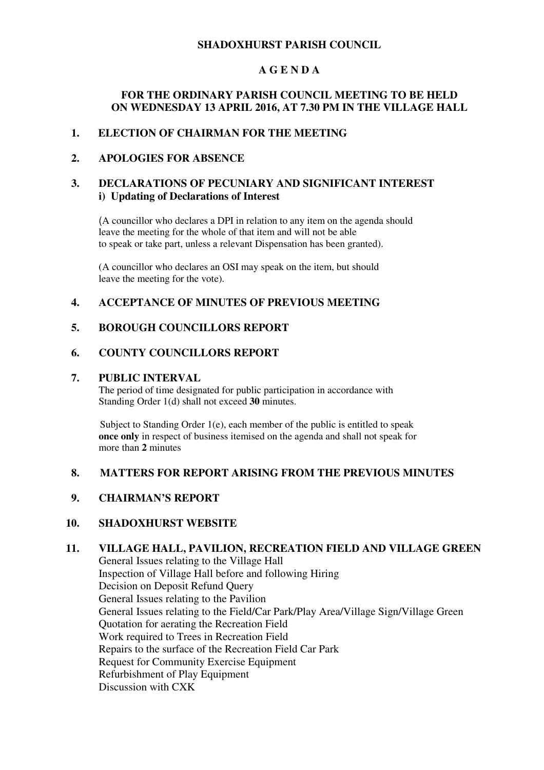#### **SHADOXHURST PARISH COUNCIL**

#### **A G E N D A**

#### **FOR THE ORDINARY PARISH COUNCIL MEETING TO BE HELD ON WEDNESDAY 13 APRIL 2016, AT 7.30 PM IN THE VILLAGE HALL**

#### **1. ELECTION OF CHAIRMAN FOR THE MEETING**

#### **2. APOLOGIES FOR ABSENCE**

#### **3. DECLARATIONS OF PECUNIARY AND SIGNIFICANT INTEREST i) Updating of Declarations of Interest**

(A councillor who declares a DPI in relation to any item on the agenda should leave the meeting for the whole of that item and will not be able to speak or take part, unless a relevant Dispensation has been granted).

(A councillor who declares an OSI may speak on the item, but should leave the meeting for the vote).

#### **4. ACCEPTANCE OF MINUTES OF PREVIOUS MEETING**

#### **5. BOROUGH COUNCILLORS REPORT**

#### **6. COUNTY COUNCILLORS REPORT**

#### **7. PUBLIC INTERVAL**

The period of time designated for public participation in accordance with Standing Order 1(d) shall not exceed **30** minutes.

Subject to Standing Order 1(e), each member of the public is entitled to speak **once only** in respect of business itemised on the agenda and shall not speak for more than **2** minutes

#### **8. MATTERS FOR REPORT ARISING FROM THE PREVIOUS MINUTES**

#### **9. CHAIRMAN'S REPORT**

#### **10. SHADOXHURST WEBSITE**

## **11. VILLAGE HALL, PAVILION, RECREATION FIELD AND VILLAGE GREEN**

General Issues relating to the Village Hall Inspection of Village Hall before and following Hiring Decision on Deposit Refund Query General Issues relating to the Pavilion General Issues relating to the Field/Car Park/Play Area/Village Sign/Village Green Quotation for aerating the Recreation Field Work required to Trees in Recreation Field Repairs to the surface of the Recreation Field Car Park Request for Community Exercise Equipment Refurbishment of Play Equipment Discussion with CXK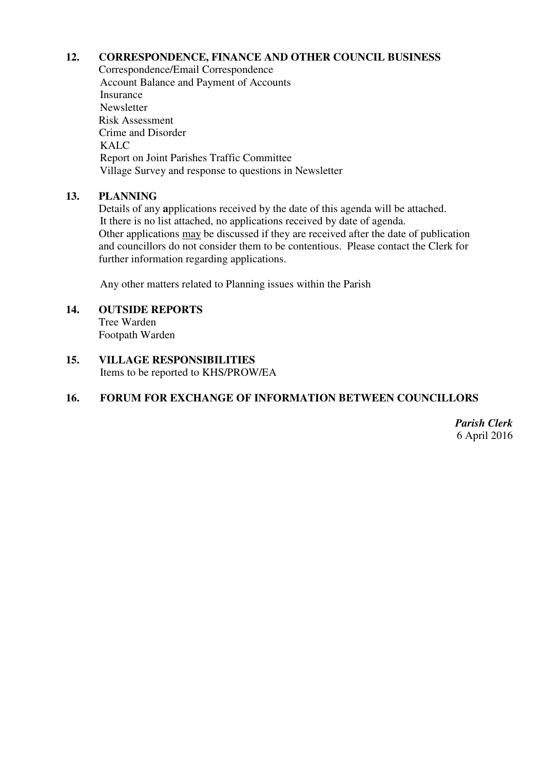#### **12. CORRESPONDENCE, FINANCE AND OTHER COUNCIL BUSINESS**

Correspondence/Email Correspondence Account Balance and Payment of Accounts Insurance Newsletter Risk Assessment Crime and Disorder KALC Report on Joint Parishes Traffic Committee Village Survey and response to questions in Newsletter

### **13. PLANNING**

Details of any **a**pplications received by the date of this agenda will be attached. It there is no list attached, no applications received by date of agenda. Other applications may be discussed if they are received after the date of publication and councillors do not consider them to be contentious. Please contact the Clerk for further information regarding applications.

Any other matters related to Planning issues within the Parish

## **14. OUTSIDE REPORTS**

Tree Warden Footpath Warden

**15. VILLAGE RESPONSIBILITIES**  Items to be reported to KHS/PROW/EA

### **16. FORUM FOR EXCHANGE OF INFORMATION BETWEEN COUNCILLORS**

*Parish Clerk* 6 April 2016